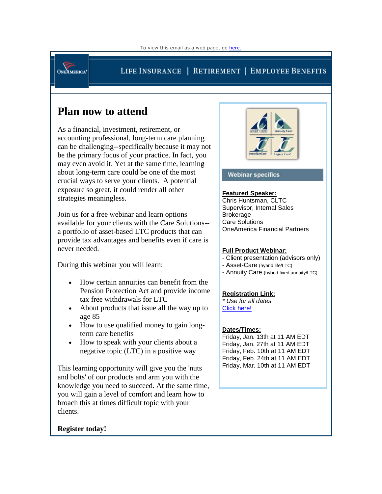**ONEAMERICA\*** 

## LIFE INSURANCE | RETIREMENT | EMPLOYEE BENEFITS

# **Plan now to attend**

As a financial, investment, retirement, or accounting professional, long-term care planning can be challenging--specifically because it may not be the primary focus of your practice. In fact, you may even avoid it. Yet at the same time, learning about long-term care could be one of the most crucial ways to serve your clients. A potential exposure so great, it could render all other strategies meaningless.

Join us for a free webinar and learn options available for your clients with the Care Solutions- a portfolio of asset-based LTC products that can provide tax advantages and benefits even if care is never needed.

During this webinar you will learn:

- How certain annuities can benefit from the Pension Protection Act and provide income tax free withdrawals for LTC
- About products that issue all the way up to age 85
- How to use qualified money to gain longterm care benefits
- How to speak with your clients about a negative topic (LTC) in a positive way

This learning opportunity will give you the 'nuts and bolts' of our products and arm you with the knowledge you need to succeed. At the same time, you will gain a level of comfort and learn how to broach this at times difficult topic with your clients.





#### **Webinar specifics**

#### **Featured Speaker:**

Chris Huntsman, CLTC Supervisor, Internal Sales **Brokerage** Care Solutions OneAmerica Financial Partners

#### **Full Product Webinar:**

- Client presentation (advisors only)
- Asset-Care (hybrid life/LTC)
- Annuity Care (hybrid fixed annuity/LTC)

#### **Registration Link:**

*\* Use for all dates* [Click here!](http://click.statelife.oneamericaemailservices.com/?qs=7e35d43c13cd9c05b1436cebbe1e75ffed16234ec21538b6979d5e09fe5186c9)

### **Dates/Times:**

Friday, Jan. 13th at 11 AM EDT Friday, Jan. 27th at 11 AM EDT Friday, Feb. 10th at 11 AM EDT Friday, Feb. 24th at 11 AM EDT Friday, Mar. 10th at 11 AM EDT